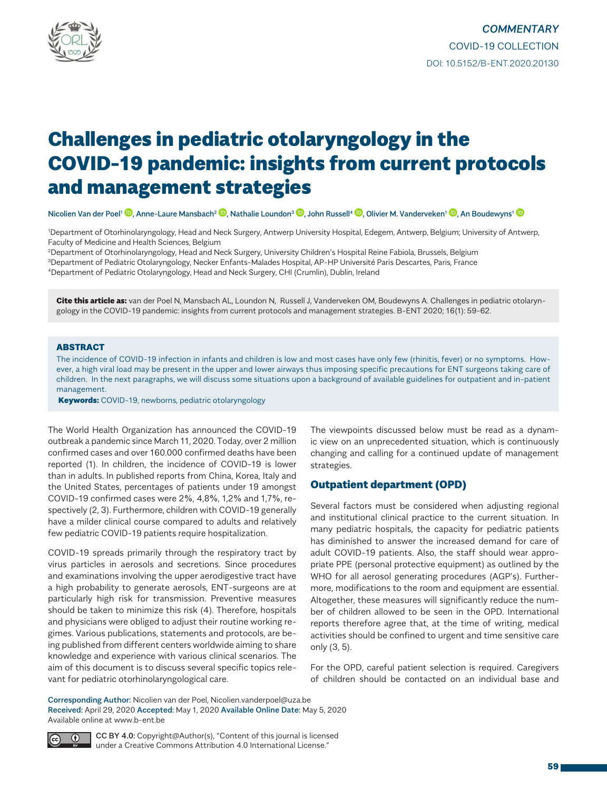

# Challenges in pediatric otolaryngology in the COVID-19 pandemic: insights from current protocols and management strategies

Nicolien Van der Poel<sup>[1](http://orcid.org/0000-0003-3669-6428)</sup> <sup>(D</sup>. Anne-Laure Mansbach<sup>2 (D</sup>. Nathalie Loundon<sup>3</sup> <sup>(D</sup>. John Russell<sup>4</sup> <sup>(D</sup>. Olivier M. Vanderveken<sup>1</sup> (D. An Boudewyns<sup>1</sup> (D

1 Department of Otorhinolaryngology, Head and Neck Surgery, Antwerp University Hospital, Edegem, Antwerp, Belgium; University of Antwerp, Faculty of Medicine and Health Sciences, Belgium

2Department of Otorhinolaryngology, Head and Neck Surgery, University Children's Hospital Reine Fabiola, Brussels, Belgium 3Department of Pediatric Otolaryngology, Necker Enfants-Malades Hospital, AP-HP Université Paris Descartes, Paris, France 4Department of Pediatric Otolaryngology, Head and Neck Surgery, CHI (Crumlin), Dublin, Ireland

Cite this article as: van der Poel N, Mansbach AL, Loundon N, Russell J, Vanderveken OM, Boudewyns A. Challenges in pediatric otolaryngology in the COVID-19 pandemic: insights from current protocols and management strategies. B-ENT 2020; 16(1): 59-62.

## ABSTRACT

The incidence of COVID-19 infection in infants and children is low and most cases have only few (rhinitis, fever) or no symptoms. However, a high viral load may be present in the upper and lower airways thus imposing specific precautions for ENT surgeons taking care of children. In the next paragraphs, we will discuss some situations upon a background of available guidelines for outpatient and in-patient management.

Keywords: COVID-19, newborns, pediatric otolaryngology

The World Health Organization has announced the COVID-19 outbreak a pandemic since March 11, 2020. Today, over 2 million confirmed cases and over 160.000 confirmed deaths have been reported (1). In children, the incidence of COVID-19 is lower than in adults. In published reports from China, Korea, Italy and the United States, percentages of patients under 19 amongst COVID-19 confirmed cases were 2%, 4,8%, 1,2% and 1,7%, respectively (2, 3). Furthermore, children with COVID-19 generally have a milder clinical course compared to adults and relatively few pediatric COVID-19 patients require hospitalization.

COVID-19 spreads primarily through the respiratory tract by virus particles in aerosols and secretions. Since procedures and examinations involving the upper aerodigestive tract have a high probability to generate aerosols, ENT-surgeons are at particularly high risk for transmission. Preventive measures should be taken to minimize this risk (4). Therefore, hospitals and physicians were obliged to adjust their routine working regimes. Various publications, statements and protocols, are being published from different centers worldwide aiming to share knowledge and experience with various clinical scenarios. The aim of this document is to discuss several specific topics relevant for pediatric otorhinolaryngological care.

The viewpoints discussed below must be read as a dynamic view on an unprecedented situation, which is continuously changing and calling for a continued update of management strategies.

# Outpatient department (OPD)

Several factors must be considered when adjusting regional and institutional clinical practice to the current situation. In many pediatric hospitals, the capacity for pediatric patients has diminished to answer the increased demand for care of adult COVID-19 patients. Also, the staff should wear appropriate PPE (personal protective equipment) as outlined by the WHO for all aerosol generating procedures (AGP's). Furthermore, modifications to the room and equipment are essential. Altogether, these measures will significantly reduce the number of children allowed to be seen in the OPD. International reports therefore agree that, at the time of writing, medical activities should be confined to urgent and time sensitive care only (3, 5).

For the OPD, careful patient selection is required. Caregivers of children should be contacted on an individual base and

Corresponding Author: Nicolien van der Poel, Nicolien.vanderpoel@uza.be Received: April 29, 2020 Accepted: May 1, 2020 Available Online Date: May 5, 2020 Available online at www.b-ent.be



CC BY 4.0: Copyright@Author(s), "Content of this journal is licensed under a Creative Commons Attribution 4.0 International License."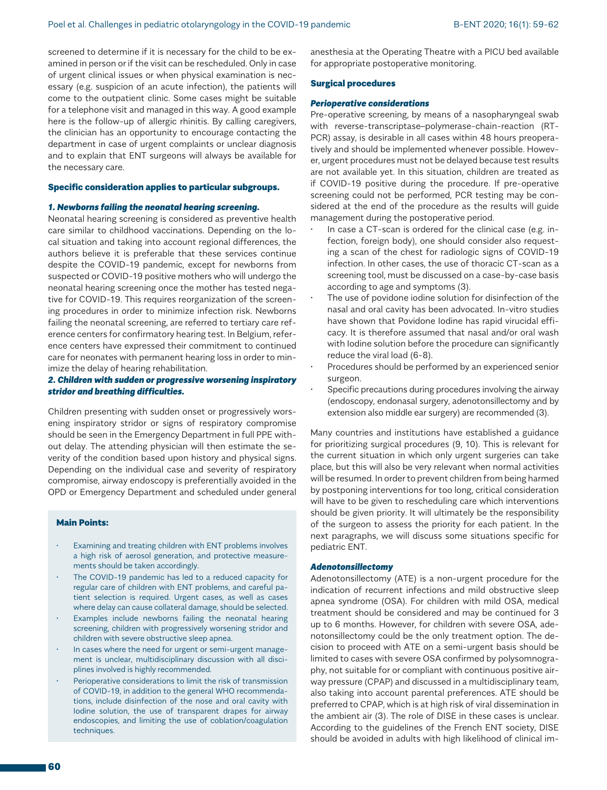screened to determine if it is necessary for the child to be examined in person or if the visit can be rescheduled. Only in case of urgent clinical issues or when physical examination is necessary (e.g. suspicion of an acute infection), the patients will come to the outpatient clinic. Some cases might be suitable for a telephone visit and managed in this way. A good example here is the follow-up of allergic rhinitis. By calling caregivers, the clinician has an opportunity to encourage contacting the department in case of urgent complaints or unclear diagnosis and to explain that ENT surgeons will always be available for the necessary care.

## Specific consideration applies to particular subgroups.

## *1. Newborns failing the neonatal hearing screening.*

Neonatal hearing screening is considered as preventive health care similar to childhood vaccinations. Depending on the local situation and taking into account regional differences, the authors believe it is preferable that these services continue despite the COVID-19 pandemic, except for newborns from suspected or COVID-19 positive mothers who will undergo the neonatal hearing screening once the mother has tested negative for COVID-19. This requires reorganization of the screening procedures in order to minimize infection risk. Newborns failing the neonatal screening, are referred to tertiary care reference centers for confirmatory hearing test. In Belgium, reference centers have expressed their commitment to continued care for neonates with permanent hearing loss in order to minimize the delay of hearing rehabilitation.

## *2. Children with sudden or progressive worsening inspiratory stridor and breathing difficulties.*

Children presenting with sudden onset or progressively worsening inspiratory stridor or signs of respiratory compromise should be seen in the Emergency Department in full PPE without delay. The attending physician will then estimate the severity of the condition based upon history and physical signs. Depending on the individual case and severity of respiratory compromise, airway endoscopy is preferentially avoided in the OPD or Emergency Department and scheduled under general

# Main Points:

- Examining and treating children with ENT problems involves a high risk of aerosol generation, and protective measurements should be taken accordingly.
- The COVID-19 pandemic has led to a reduced capacity for regular care of children with ENT problems, and careful patient selection is required. Urgent cases, as well as cases where delay can cause collateral damage, should be selected.
- Examples include newborns failing the neonatal hearing screening, children with progressively worsening stridor and children with severe obstructive sleep apnea.
- In cases where the need for urgent or semi-urgent management is unclear, multidisciplinary discussion with all disciplines involved is highly recommended.
- Perioperative considerations to limit the risk of transmission of COVID-19, in addition to the general WHO recommendations, include disinfection of the nose and oral cavity with Iodine solution, the use of transparent drapes for airway endoscopies, and limiting the use of coblation/coagulation techniques.

anesthesia at the Operating Theatre with a PICU bed available for appropriate postoperative monitoring.

#### Surgical procedures

#### *Perioperative considerations*

Pre-operative screening, by means of a nasopharyngeal swab with reverse-transcriptase–polymerase-chain-reaction (RT-PCR) assay, is desirable in all cases within 48 hours preoperatively and should be implemented whenever possible. However, urgent procedures must not be delayed because test results are not available yet. In this situation, children are treated as if COVID-19 positive during the procedure. If pre-operative screening could not be performed, PCR testing may be considered at the end of the procedure as the results will guide management during the postoperative period.

- In case a CT-scan is ordered for the clinical case (e.g. infection, foreign body), one should consider also requesting a scan of the chest for radiologic signs of COVID-19 infection. In other cases, the use of thoracic CT-scan as a screening tool, must be discussed on a case-by-case basis according to age and symptoms (3).
- The use of povidone iodine solution for disinfection of the nasal and oral cavity has been advocated. In-vitro studies have shown that Povidone Iodine has rapid virucidal efficacy. It is therefore assumed that nasal and/or oral wash with Iodine solution before the procedure can significantly reduce the viral load (6-8).
- Procedures should be performed by an experienced senior surgeon.
- Specific precautions during procedures involving the airway (endoscopy, endonasal surgery, adenotonsillectomy and by extension also middle ear surgery) are recommended (3).

Many countries and institutions have established a guidance for prioritizing surgical procedures (9, 10). This is relevant for the current situation in which only urgent surgeries can take place, but this will also be very relevant when normal activities will be resumed. In order to prevent children from being harmed by postponing interventions for too long, critical consideration will have to be given to rescheduling care which interventions should be given priority. It will ultimately be the responsibility of the surgeon to assess the priority for each patient. In the next paragraphs, we will discuss some situations specific for pediatric ENT.

#### *Adenotonsillectomy*

Adenotonsillectomy (ATE) is a non-urgent procedure for the indication of recurrent infections and mild obstructive sleep apnea syndrome (OSA). For children with mild OSA, medical treatment should be considered and may be continued for 3 up to 6 months. However, for children with severe OSA, adenotonsillectomy could be the only treatment option. The decision to proceed with ATE on a semi-urgent basis should be limited to cases with severe OSA confirmed by polysomnography, not suitable for or compliant with continuous positive airway pressure (CPAP) and discussed in a multidisciplinary team, also taking into account parental preferences. ATE should be preferred to CPAP, which is at high risk of viral dissemination in the ambient air (3). The role of DISE in these cases is unclear. According to the guidelines of the French ENT society, DISE should be avoided in adults with high likelihood of clinical im-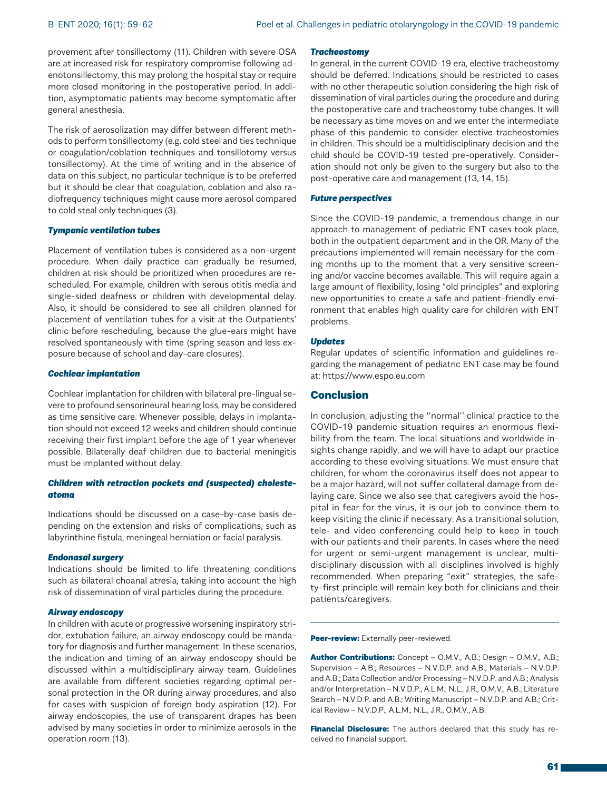provement after tonsillectomy (11). Children with severe OSA are at increased risk for respiratory compromise following adenotonsillectomy, this may prolong the hospital stay or require more closed monitoring in the postoperative period. In addition, asymptomatic patients may become symptomatic after general anesthesia.

The risk of aerosolization may differ between different methods to perform tonsillectomy (e.g. cold steel and ties technique or coagulation/coblation techniques and tonsillotomy versus tonsillectomy). At the time of writing and in the absence of data on this subject, no particular technique is to be preferred but it should be clear that coagulation, coblation and also radiofrequency techniques might cause more aerosol compared to cold steal only techniques (3).

## *Tympanic ventilation tubes*

Placement of ventilation tubes is considered as a non-urgent procedure. When daily practice can gradually be resumed, children at risk should be prioritized when procedures are rescheduled. For example, children with serous otitis media and single-sided deafness or children with developmental delay. Also, it should be considered to see all children planned for placement of ventilation tubes for a visit at the Outpatients' clinic before rescheduling, because the glue-ears might have resolved spontaneously with time (spring season and less exposure because of school and day-care closures).

#### *Cochlear implantation*

Cochlear implantation for children with bilateral pre-lingual severe to profound sensorineural hearing loss, may be considered as time sensitive care. Whenever possible, delays in implantation should not exceed 12 weeks and children should continue receiving their first implant before the age of 1 year whenever possible. Bilaterally deaf children due to bacterial meningitis must be implanted without delay.

## *Children with retraction pockets and (suspected) cholesteatoma*

Indications should be discussed on a case-by-case basis depending on the extension and risks of complications, such as labyrinthine fistula, meningeal herniation or facial paralysis.

#### *Endonasal surgery*

Indications should be limited to life threatening conditions such as bilateral choanal atresia, taking into account the high risk of dissemination of viral particles during the procedure.

#### *Airway endoscopy*

In children with acute or progressive worsening inspiratory stridor, extubation failure, an airway endoscopy could be mandatory for diagnosis and further management. In these scenarios, the indication and timing of an airway endoscopy should be discussed within a multidisciplinary airway team. Guidelines are available from different societies regarding optimal personal protection in the OR during airway procedures, and also for cases with suspicion of foreign body aspiration (12). For airway endoscopies, the use of transparent drapes has been advised by many societies in order to minimize aerosols in the operation room (13).

#### *Tracheostomy*

In general, in the current COVID-19 era, elective tracheostomy should be deferred. Indications should be restricted to cases with no other therapeutic solution considering the high risk of dissemination of viral particles during the procedure and during the postoperative care and tracheostomy tube changes. It will be necessary as time moves on and we enter the intermediate phase of this pandemic to consider elective tracheostomies in children. This should be a multidisciplinary decision and the child should be COVID-19 tested pre-operatively. Consideration should not only be given to the surgery but also to the post-operative care and management (13, 14, 15).

#### *Future perspectives*

Since the COVID-19 pandemic, a tremendous change in our approach to management of pediatric ENT cases took place, both in the outpatient department and in the OR. Many of the precautions implemented will remain necessary for the coming months up to the moment that a very sensitive screening and/or vaccine becomes available. This will require again a large amount of flexibility, losing "old principles" and exploring new opportunities to create a safe and patient-friendly environment that enables high quality care for children with ENT problems.

## *Updates*

Regular updates of scientific information and guidelines regarding the management of pediatric ENT case may be found at: https://www.espo.eu.com

## Conclusion

In conclusion, adjusting the ''normal'' clinical practice to the COVID-19 pandemic situation requires an enormous flexibility from the team. The local situations and worldwide insights change rapidly, and we will have to adapt our practice according to these evolving situations. We must ensure that children, for whom the coronavirus itself does not appear to be a major hazard, will not suffer collateral damage from delaying care. Since we also see that caregivers avoid the hospital in fear for the virus, it is our job to convince them to keep visiting the clinic if necessary. As a transitional solution, tele- and video conferencing could help to keep in touch with our patients and their parents. In cases where the need for urgent or semi-urgent management is unclear, multidisciplinary discussion with all disciplines involved is highly recommended. When preparing "exit" strategies, the safety-first principle will remain key both for clinicians and their patients/caregivers.

Peer-review: Externally peer-reviewed.

Author Contributions: Concept - O.M.V., A.B.; Design - O.M.V., A.B.; Supervision – A.B.; Resources – N.V.D.P. and A.B.; Materials – N.V.D.P. and A.B.; Data Collection and/or Processing – N.V.D.P. and A.B.; Analysis and/or Interpretation – N.V.D.P., A.L.M., N.L., J.R., O.M.V., A.B.; Literature Search – N.V.D.P. and A.B.; Writing Manuscript – N.V.D.P. and A.B.; Critical Review – N.V.D.P., A.L.M., N.L., J.R., O.M.V., A.B.

Financial Disclosure: The authors declared that this study has received no financial support.